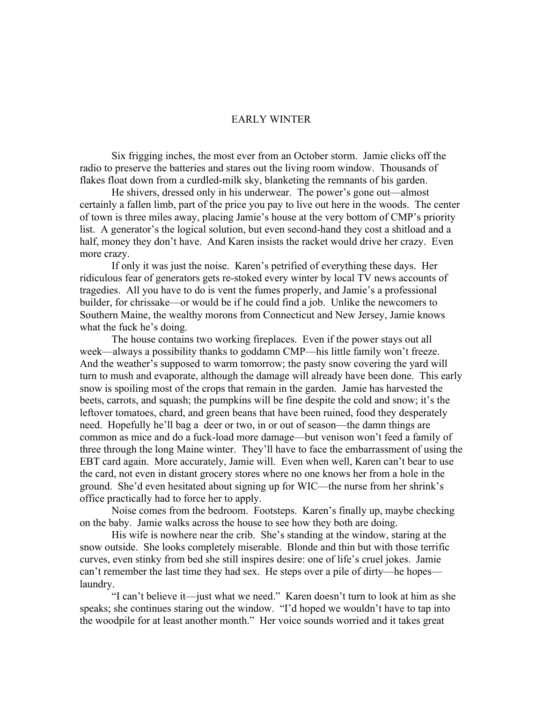## EARLY WINTER

Six frigging inches, the most ever from an October storm. Jamie clicks off the radio to preserve the batteries and stares out the living room window. Thousands of flakes float down from a curdled-milk sky, blanketing the remnants of his garden.

He shivers, dressed only in his underwear. The power's gone out—almost certainly a fallen limb, part of the price you pay to live out here in the woods. The center of town is three miles away, placing Jamie's house at the very bottom of CMP's priority list. A generator's the logical solution, but even second-hand they cost a shitload and a half, money they don't have. And Karen insists the racket would drive her crazy. Even more crazy.

If only it was just the noise. Karen's petrified of everything these days. Her ridiculous fear of generators gets re-stoked every winter by local TV news accounts of tragedies. All you have to do is vent the fumes properly, and Jamie's a professional builder, for chrissake—or would be if he could find a job. Unlike the newcomers to Southern Maine, the wealthy morons from Connecticut and New Jersey, Jamie knows what the fuck he's doing.

The house contains two working fireplaces. Even if the power stays out all week—always a possibility thanks to goddamn CMP—his little family won't freeze. And the weather's supposed to warm tomorrow; the pasty snow covering the yard will turn to mush and evaporate, although the damage will already have been done. This early snow is spoiling most of the crops that remain in the garden. Jamie has harvested the beets, carrots, and squash; the pumpkins will be fine despite the cold and snow; it's the leftover tomatoes, chard, and green beans that have been ruined, food they desperately need. Hopefully he'll bag a deer or two, in or out of season—the damn things are common as mice and do a fuck-load more damage—but venison won't feed a family of three through the long Maine winter. They'll have to face the embarrassment of using the EBT card again. More accurately, Jamie will. Even when well, Karen can't bear to use the card, not even in distant grocery stores where no one knows her from a hole in the ground. She'd even hesitated about signing up for WIC—the nurse from her shrink's office practically had to force her to apply.

Noise comes from the bedroom. Footsteps. Karen's finally up, maybe checking on the baby. Jamie walks across the house to see how they both are doing.

His wife is nowhere near the crib. She's standing at the window, staring at the snow outside. She looks completely miserable. Blonde and thin but with those terrific curves, even stinky from bed she still inspires desire: one of life's cruel jokes. Jamie can't remember the last time they had sex. He steps over a pile of dirty—he hopes laundry.

"I can't believe it—just what we need." Karen doesn't turn to look at him as she speaks; she continues staring out the window. "I'd hoped we wouldn't have to tap into the woodpile for at least another month." Her voice sounds worried and it takes great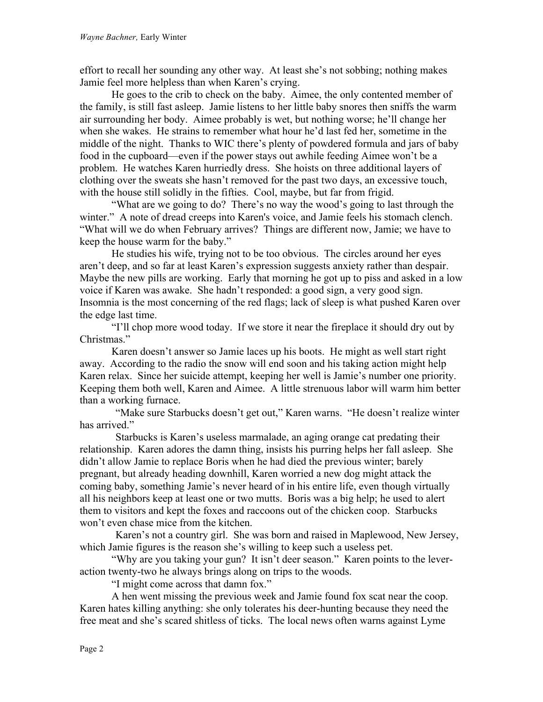effort to recall her sounding any other way. At least she's not sobbing; nothing makes Jamie feel more helpless than when Karen's crying.

He goes to the crib to check on the baby. Aimee, the only contented member of the family, is still fast asleep. Jamie listens to her little baby snores then sniffs the warm air surrounding her body. Aimee probably is wet, but nothing worse; he'll change her when she wakes. He strains to remember what hour he'd last fed her, sometime in the middle of the night. Thanks to WIC there's plenty of powdered formula and jars of baby food in the cupboard—even if the power stays out awhile feeding Aimee won't be a problem. He watches Karen hurriedly dress. She hoists on three additional layers of clothing over the sweats she hasn't removed for the past two days, an excessive touch, with the house still solidly in the fifties. Cool, maybe, but far from frigid.

"What are we going to do? There's no way the wood's going to last through the winter." A note of dread creeps into Karen's voice, and Jamie feels his stomach clench. "What will we do when February arrives? Things are different now, Jamie; we have to keep the house warm for the baby."

He studies his wife, trying not to be too obvious. The circles around her eyes aren't deep, and so far at least Karen's expression suggests anxiety rather than despair. Maybe the new pills are working. Early that morning he got up to piss and asked in a low voice if Karen was awake. She hadn't responded: a good sign, a very good sign. Insomnia is the most concerning of the red flags; lack of sleep is what pushed Karen over the edge last time.

"I'll chop more wood today. If we store it near the fireplace it should dry out by Christmas."

Karen doesn't answer so Jamie laces up his boots. He might as well start right away. According to the radio the snow will end soon and his taking action might help Karen relax. Since her suicide attempt, keeping her well is Jamie's number one priority. Keeping them both well, Karen and Aimee. A little strenuous labor will warm him better than a working furnace.

"Make sure Starbucks doesn't get out," Karen warns. "He doesn't realize winter has arrived."

Starbucks is Karen's useless marmalade, an aging orange cat predating their relationship. Karen adores the damn thing, insists his purring helps her fall asleep. She didn't allow Jamie to replace Boris when he had died the previous winter; barely pregnant, but already heading downhill, Karen worried a new dog might attack the coming baby, something Jamie's never heard of in his entire life, even though virtually all his neighbors keep at least one or two mutts. Boris was a big help; he used to alert them to visitors and kept the foxes and raccoons out of the chicken coop. Starbucks won't even chase mice from the kitchen.

Karen's not a country girl. She was born and raised in Maplewood, New Jersey, which Jamie figures is the reason she's willing to keep such a useless pet.

"Why are you taking your gun? It isn't deer season." Karen points to the leveraction twenty-two he always brings along on trips to the woods.

"I might come across that damn fox."

A hen went missing the previous week and Jamie found fox scat near the coop. Karen hates killing anything: she only tolerates his deer-hunting because they need the free meat and she's scared shitless of ticks. The local news often warns against Lyme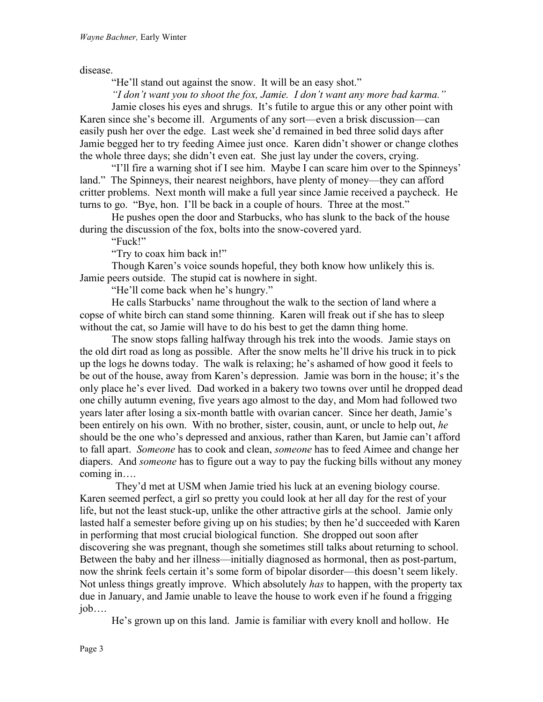disease.

"He'll stand out against the snow. It will be an easy shot."

*"I don't want you to shoot the fox, Jamie. I don't want any more bad karma."* 

Jamie closes his eyes and shrugs. It's futile to argue this or any other point with Karen since she's become ill. Arguments of any sort—even a brisk discussion—can easily push her over the edge. Last week she'd remained in bed three solid days after Jamie begged her to try feeding Aimee just once. Karen didn't shower or change clothes the whole three days; she didn't even eat. She just lay under the covers, crying.

"I'll fire a warning shot if I see him. Maybe I can scare him over to the Spinneys' land." The Spinneys, their nearest neighbors, have plenty of money—they can afford critter problems. Next month will make a full year since Jamie received a paycheck. He turns to go. "Bye, hon. I'll be back in a couple of hours. Three at the most."

He pushes open the door and Starbucks, who has slunk to the back of the house during the discussion of the fox, bolts into the snow-covered yard.

"Fuck!"

"Try to coax him back in!"

Though Karen's voice sounds hopeful, they both know how unlikely this is. Jamie peers outside. The stupid cat is nowhere in sight.

"He'll come back when he's hungry."

He calls Starbucks' name throughout the walk to the section of land where a copse of white birch can stand some thinning. Karen will freak out if she has to sleep without the cat, so Jamie will have to do his best to get the damn thing home.

The snow stops falling halfway through his trek into the woods. Jamie stays on the old dirt road as long as possible. After the snow melts he'll drive his truck in to pick up the logs he downs today. The walk is relaxing; he's ashamed of how good it feels to be out of the house, away from Karen's depression. Jamie was born in the house; it's the only place he's ever lived. Dad worked in a bakery two towns over until he dropped dead one chilly autumn evening, five years ago almost to the day, and Mom had followed two years later after losing a six-month battle with ovarian cancer. Since her death, Jamie's been entirely on his own. With no brother, sister, cousin, aunt, or uncle to help out, *he* should be the one who's depressed and anxious, rather than Karen, but Jamie can't afford to fall apart. *Someone* has to cook and clean, *someone* has to feed Aimee and change her diapers. And *someone* has to figure out a way to pay the fucking bills without any money coming in….

They'd met at USM when Jamie tried his luck at an evening biology course. Karen seemed perfect, a girl so pretty you could look at her all day for the rest of your life, but not the least stuck-up, unlike the other attractive girls at the school. Jamie only lasted half a semester before giving up on his studies; by then he'd succeeded with Karen in performing that most crucial biological function. She dropped out soon after discovering she was pregnant, though she sometimes still talks about returning to school. Between the baby and her illness—initially diagnosed as hormonal, then as post-partum, now the shrink feels certain it's some form of bipolar disorder—this doesn't seem likely. Not unless things greatly improve. Which absolutely *has* to happen, with the property tax due in January, and Jamie unable to leave the house to work even if he found a frigging job….

He's grown up on this land. Jamie is familiar with every knoll and hollow. He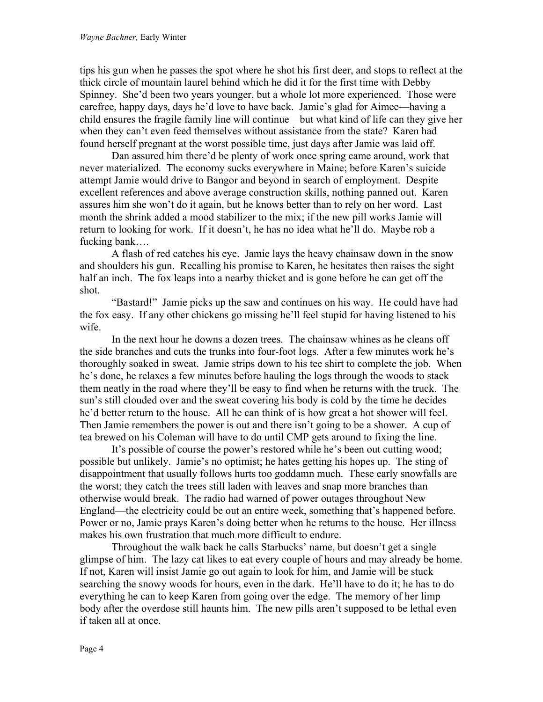tips his gun when he passes the spot where he shot his first deer, and stops to reflect at the thick circle of mountain laurel behind which he did it for the first time with Debby Spinney. She'd been two years younger, but a whole lot more experienced. Those were carefree, happy days, days he'd love to have back. Jamie's glad for Aimee—having a child ensures the fragile family line will continue—but what kind of life can they give her when they can't even feed themselves without assistance from the state? Karen had found herself pregnant at the worst possible time, just days after Jamie was laid off.

Dan assured him there'd be plenty of work once spring came around, work that never materialized. The economy sucks everywhere in Maine; before Karen's suicide attempt Jamie would drive to Bangor and beyond in search of employment. Despite excellent references and above average construction skills, nothing panned out. Karen assures him she won't do it again, but he knows better than to rely on her word. Last month the shrink added a mood stabilizer to the mix; if the new pill works Jamie will return to looking for work. If it doesn't, he has no idea what he'll do. Maybe rob a fucking bank….

A flash of red catches his eye. Jamie lays the heavy chainsaw down in the snow and shoulders his gun. Recalling his promise to Karen, he hesitates then raises the sight half an inch. The fox leaps into a nearby thicket and is gone before he can get off the shot.

"Bastard!" Jamie picks up the saw and continues on his way. He could have had the fox easy. If any other chickens go missing he'll feel stupid for having listened to his wife.

In the next hour he downs a dozen trees. The chainsaw whines as he cleans off the side branches and cuts the trunks into four-foot logs. After a few minutes work he's thoroughly soaked in sweat. Jamie strips down to his tee shirt to complete the job. When he's done, he relaxes a few minutes before hauling the logs through the woods to stack them neatly in the road where they'll be easy to find when he returns with the truck. The sun's still clouded over and the sweat covering his body is cold by the time he decides he'd better return to the house. All he can think of is how great a hot shower will feel. Then Jamie remembers the power is out and there isn't going to be a shower. A cup of tea brewed on his Coleman will have to do until CMP gets around to fixing the line.

It's possible of course the power's restored while he's been out cutting wood; possible but unlikely. Jamie's no optimist; he hates getting his hopes up. The sting of disappointment that usually follows hurts too goddamn much. These early snowfalls are the worst; they catch the trees still laden with leaves and snap more branches than otherwise would break. The radio had warned of power outages throughout New England—the electricity could be out an entire week, something that's happened before. Power or no, Jamie prays Karen's doing better when he returns to the house. Her illness makes his own frustration that much more difficult to endure.

Throughout the walk back he calls Starbucks' name, but doesn't get a single glimpse of him. The lazy cat likes to eat every couple of hours and may already be home. If not, Karen will insist Jamie go out again to look for him, and Jamie will be stuck searching the snowy woods for hours, even in the dark. He'll have to do it; he has to do everything he can to keep Karen from going over the edge. The memory of her limp body after the overdose still haunts him. The new pills aren't supposed to be lethal even if taken all at once.